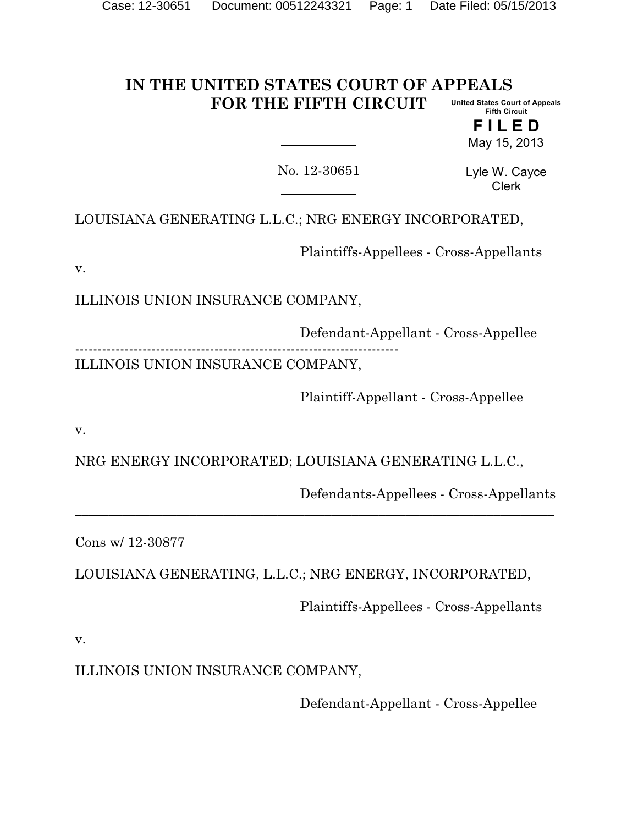#### **IN THE UNITED STATES COURT OF APPEALS FOR THE FIFTH CIRCUIT United States Court of Appeals Fifth Circuit**

**F I L E D** May 15, 2013

No. 12-30651

Lyle W. Cayce Clerk

LOUISIANA GENERATING L.L.C.; NRG ENERGY INCORPORATED,

Plaintiffs-Appellees - Cross-Appellants

v.

ILLINOIS UNION INSURANCE COMPANY,

Defendant-Appellant - Cross-Appellee ------------------------------------------------------------------------ ILLINOIS UNION INSURANCE COMPANY,

Plaintiff-Appellant - Cross-Appellee

v.

NRG ENERGY INCORPORATED; LOUISIANA GENERATING L.L.C.,

Defendants-Appellees - Cross-Appellants

Cons w/ 12-30877

LOUISIANA GENERATING, L.L.C.; NRG ENERGY, INCORPORATED,

 $\overline{a_1}$  , and the set of the set of the set of the set of the set of the set of the set of the set of the set of the set of the set of the set of the set of the set of the set of the set of the set of the set of the se

Plaintiffs-Appellees - Cross-Appellants

v.

ILLINOIS UNION INSURANCE COMPANY,

Defendant-Appellant - Cross-Appellee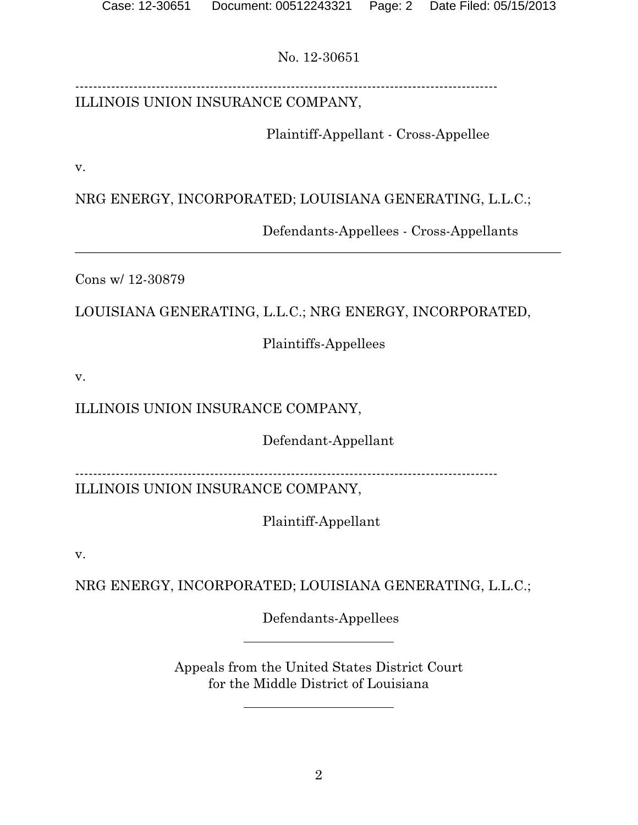---------------------------------------------------------------------------------------------- ILLINOIS UNION INSURANCE COMPANY,

Plaintiff-Appellant - Cross-Appellee

v.

NRG ENERGY, INCORPORATED; LOUISIANA GENERATING, L.L.C.;

 $\overline{a_1}$  , and the contribution of the contribution of the contribution of the contribution of the contribution of the contribution of the contribution of the contribution of the contribution of the contribution of the

Defendants-Appellees - Cross-Appellants

Cons w/ 12-30879

LOUISIANA GENERATING, L.L.C.; NRG ENERGY, INCORPORATED,

Plaintiffs-Appellees

v.

# ILLINOIS UNION INSURANCE COMPANY,

Defendant-Appellant

----------------------------------------------------------------------------------------------

ILLINOIS UNION INSURANCE COMPANY,

Plaintiff-Appellant

v.

NRG ENERGY, INCORPORATED; LOUISIANA GENERATING, L.L.C.;

Defendants-Appellees

Appeals from the United States District Court for the Middle District of Louisiana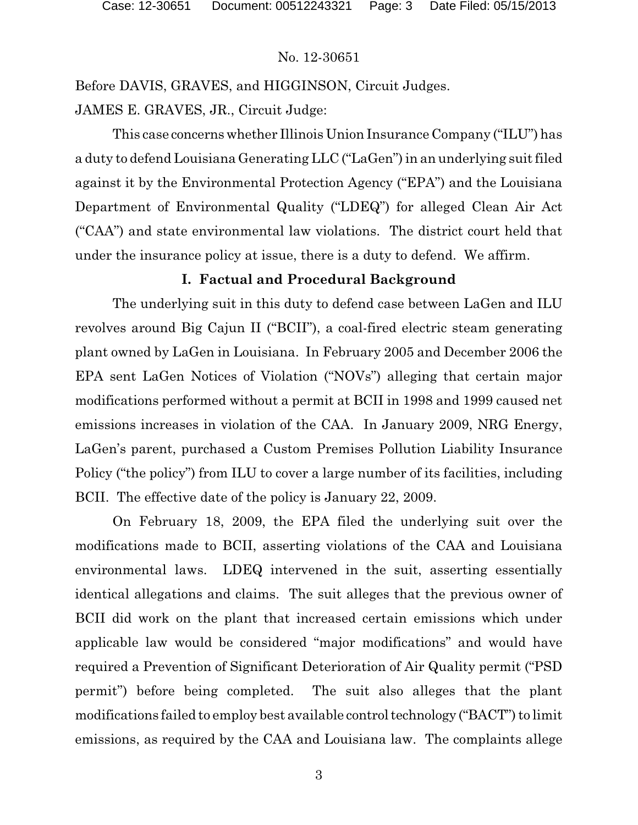Before DAVIS, GRAVES, and HIGGINSON, Circuit Judges. JAMES E. GRAVES, JR., Circuit Judge:

This case concerns whether Illinois Union Insurance Company ("ILU") has a duty to defend Louisiana Generating LLC ("LaGen") in an underlying suit filed against it by the Environmental Protection Agency ("EPA") and the Louisiana Department of Environmental Quality ("LDEQ") for alleged Clean Air Act ("CAA") and state environmental law violations. The district court held that under the insurance policy at issue, there is a duty to defend. We affirm.

### **I. Factual and Procedural Background**

The underlying suit in this duty to defend case between LaGen and ILU revolves around Big Cajun II ("BCII"), a coal-fired electric steam generating plant owned by LaGen in Louisiana. In February 2005 and December 2006 the EPA sent LaGen Notices of Violation ("NOVs") alleging that certain major modifications performed without a permit at BCII in 1998 and 1999 caused net emissions increases in violation of the CAA. In January 2009, NRG Energy, LaGen's parent, purchased a Custom Premises Pollution Liability Insurance Policy ("the policy") from ILU to cover a large number of its facilities, including BCII. The effective date of the policy is January 22, 2009.

On February 18, 2009, the EPA filed the underlying suit over the modifications made to BCII, asserting violations of the CAA and Louisiana environmental laws. LDEQ intervened in the suit, asserting essentially identical allegations and claims. The suit alleges that the previous owner of BCII did work on the plant that increased certain emissions which under applicable law would be considered "major modifications" and would have required a Prevention of Significant Deterioration of Air Quality permit ("PSD permit") before being completed. The suit also alleges that the plant modifications failed to employ best available control technology ("BACT") to limit emissions, as required by the CAA and Louisiana law. The complaints allege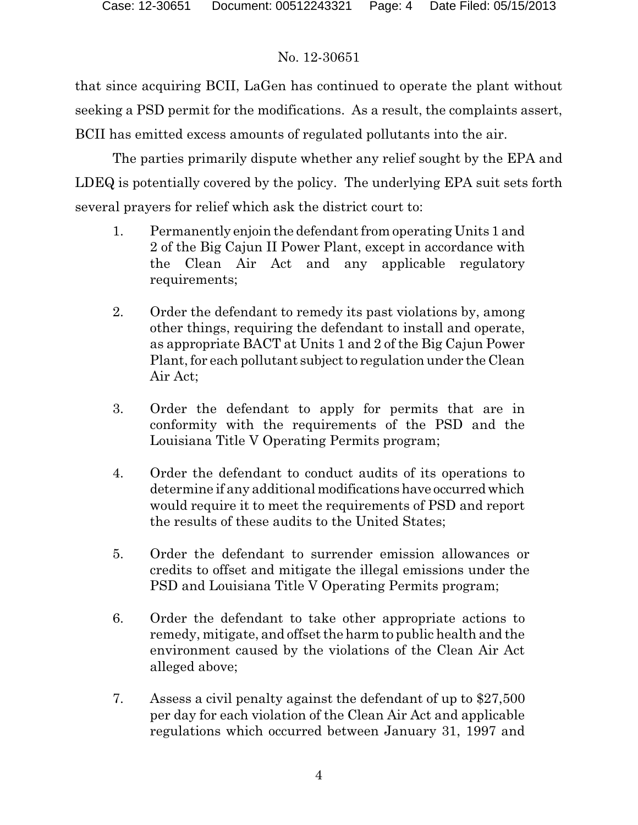that since acquiring BCII, LaGen has continued to operate the plant without seeking a PSD permit for the modifications. As a result, the complaints assert, BCII has emitted excess amounts of regulated pollutants into the air.

The parties primarily dispute whether any relief sought by the EPA and LDEQ is potentially covered by the policy. The underlying EPA suit sets forth several prayers for relief which ask the district court to:

- 1. Permanently enjoin the defendant from operating Units 1 and 2 of the Big Cajun II Power Plant, except in accordance with the Clean Air Act and any applicable regulatory requirements;
- 2. Order the defendant to remedy its past violations by, among other things, requiring the defendant to install and operate, as appropriate BACT at Units 1 and 2 of the Big Cajun Power Plant, for each pollutant subject to regulation under the Clean Air Act;
- 3. Order the defendant to apply for permits that are in conformity with the requirements of the PSD and the Louisiana Title V Operating Permits program;
- 4. Order the defendant to conduct audits of its operations to determine if any additional modifications have occurred which would require it to meet the requirements of PSD and report the results of these audits to the United States;
- 5. Order the defendant to surrender emission allowances or credits to offset and mitigate the illegal emissions under the PSD and Louisiana Title V Operating Permits program;
- 6. Order the defendant to take other appropriate actions to remedy, mitigate, and offset the harm to public health and the environment caused by the violations of the Clean Air Act alleged above;
- 7. Assess a civil penalty against the defendant of up to \$27,500 per day for each violation of the Clean Air Act and applicable regulations which occurred between January 31, 1997 and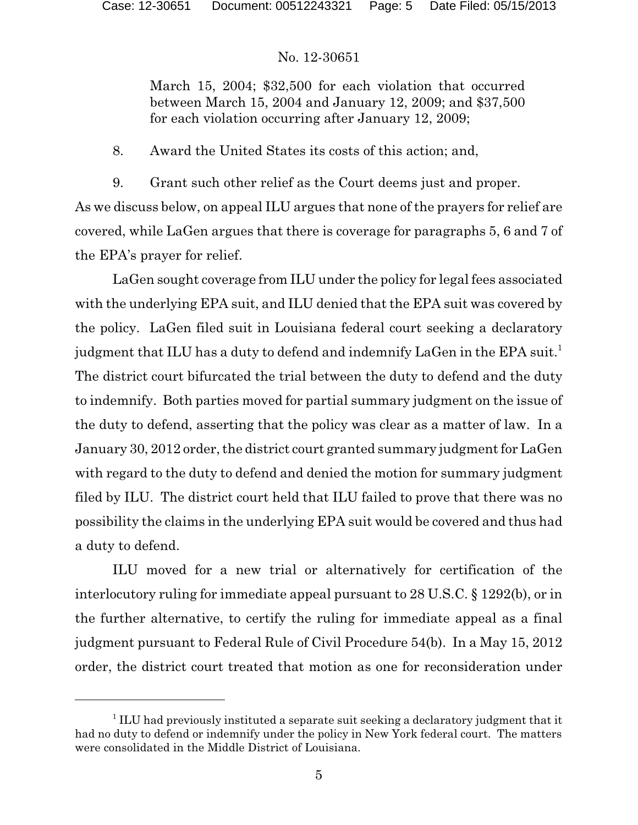March 15, 2004; \$32,500 for each violation that occurred between March 15, 2004 and January 12, 2009; and \$37,500 for each violation occurring after January 12, 2009;

8. Award the United States its costs of this action; and,

9. Grant such other relief as the Court deems just and proper. As we discuss below, on appeal ILU argues that none of the prayers for relief are covered, while LaGen argues that there is coverage for paragraphs 5, 6 and 7 of the EPA's prayer for relief.

LaGen sought coverage from ILU under the policy for legal fees associated with the underlying EPA suit, and ILU denied that the EPA suit was covered by the policy. LaGen filed suit in Louisiana federal court seeking a declaratory judgment that ILU has a duty to defend and indemnify LaGen in the EPA suit.<sup>1</sup> The district court bifurcated the trial between the duty to defend and the duty to indemnify. Both parties moved for partial summary judgment on the issue of the duty to defend, asserting that the policy was clear as a matter of law. In a January 30, 2012 order, the district court granted summary judgment for LaGen with regard to the duty to defend and denied the motion for summary judgment filed by ILU. The district court held that ILU failed to prove that there was no possibility the claims in the underlying EPA suit would be covered and thus had a duty to defend.

ILU moved for a new trial or alternatively for certification of the interlocutory ruling for immediate appeal pursuant to 28 U.S.C. § 1292(b), or in the further alternative, to certify the ruling for immediate appeal as a final judgment pursuant to Federal Rule of Civil Procedure 54(b). In a May 15, 2012 order, the district court treated that motion as one for reconsideration under

<sup>&</sup>lt;sup>1</sup> ILU had previously instituted a separate suit seeking a declaratory judgment that it had no duty to defend or indemnify under the policy in New York federal court. The matters were consolidated in the Middle District of Louisiana.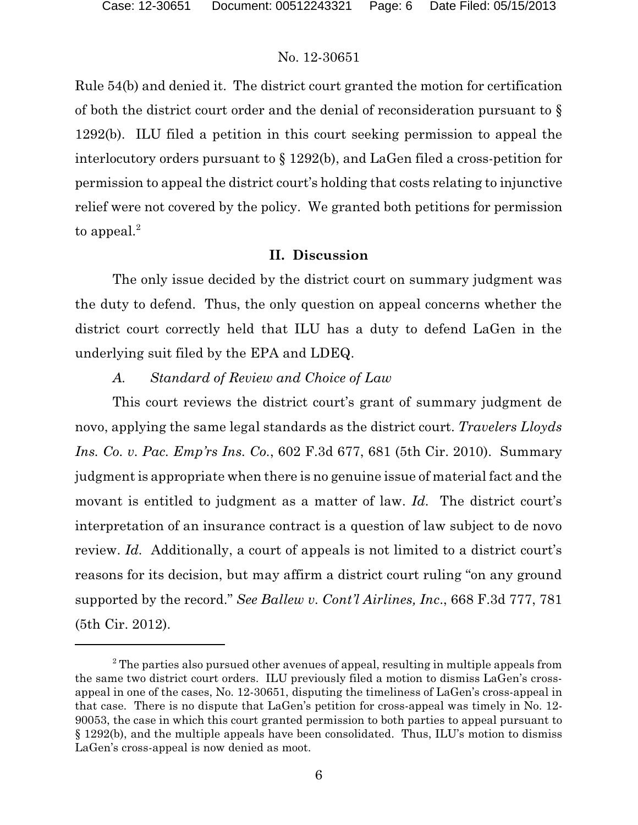Rule 54(b) and denied it. The district court granted the motion for certification of both the district court order and the denial of reconsideration pursuant to § 1292(b). ILU filed a petition in this court seeking permission to appeal the interlocutory orders pursuant to § 1292(b), and LaGen filed a cross-petition for permission to appeal the district court's holding that costs relating to injunctive relief were not covered by the policy. We granted both petitions for permission to appeal.<sup>2</sup>

#### **II. Discussion**

The only issue decided by the district court on summary judgment was the duty to defend. Thus, the only question on appeal concerns whether the district court correctly held that ILU has a duty to defend LaGen in the underlying suit filed by the EPA and LDEQ.

### *A. Standard of Review and Choice of Law*

This court reviews the district court's grant of summary judgment de novo, applying the same legal standards as the district court. *Travelers Lloyds Ins. Co. v. Pac. Emp'rs Ins. Co.*, 602 F.3d 677, 681 (5th Cir. 2010). Summary judgment is appropriate when there is no genuine issue of material fact and the movant is entitled to judgment as a matter of law. *Id.* The district court's interpretation of an insurance contract is a question of law subject to de novo review. *Id.* Additionally, a court of appeals is not limited to a district court's reasons for its decision, but may affirm a district court ruling "on any ground supported by the record." *See Ballew v. Cont'l Airlines, Inc*., 668 F.3d 777, 781 (5th Cir. 2012).

 $2$ <sup>2</sup> The parties also pursued other avenues of appeal, resulting in multiple appeals from the same two district court orders. ILU previously filed a motion to dismiss LaGen's crossappeal in one of the cases, No. 12-30651, disputing the timeliness of LaGen's cross-appeal in that case. There is no dispute that LaGen's petition for cross-appeal was timely in No. 12- 90053, the case in which this court granted permission to both parties to appeal pursuant to § 1292(b), and the multiple appeals have been consolidated. Thus, ILU's motion to dismiss LaGen's cross-appeal is now denied as moot.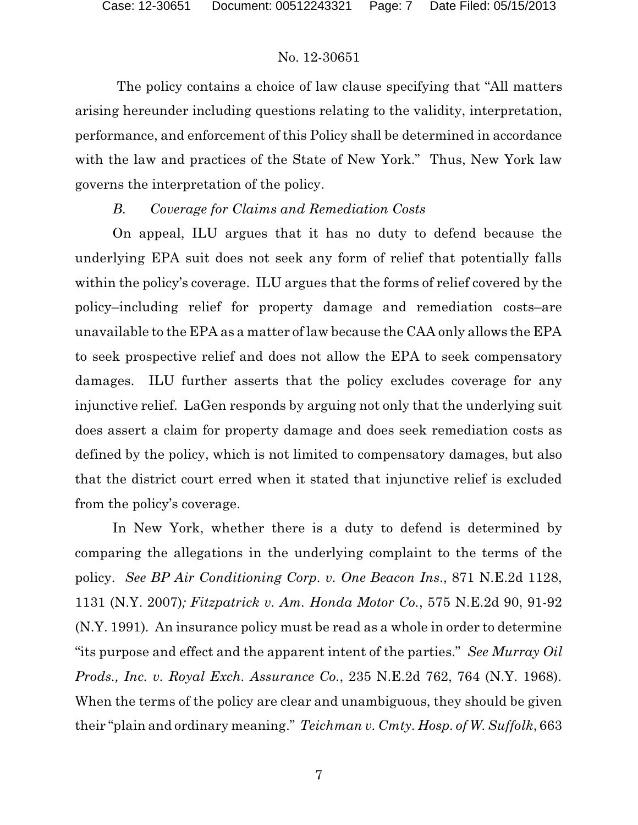The policy contains a choice of law clause specifying that "All matters arising hereunder including questions relating to the validity, interpretation, performance, and enforcement of this Policy shall be determined in accordance with the law and practices of the State of New York." Thus, New York law governs the interpretation of the policy.

## *B. Coverage for Claims and Remediation Costs*

On appeal, ILU argues that it has no duty to defend because the underlying EPA suit does not seek any form of relief that potentially falls within the policy's coverage. ILU argues that the forms of relief covered by the policy–including relief for property damage and remediation costs–are unavailable to the EPA as a matter of law because the CAA only allows the EPA to seek prospective relief and does not allow the EPA to seek compensatory damages. ILU further asserts that the policy excludes coverage for any injunctive relief. LaGen responds by arguing not only that the underlying suit does assert a claim for property damage and does seek remediation costs as defined by the policy, which is not limited to compensatory damages, but also that the district court erred when it stated that injunctive relief is excluded from the policy's coverage.

In New York, whether there is a duty to defend is determined by comparing the allegations in the underlying complaint to the terms of the policy. *See BP Air Conditioning Corp. v. One Beacon Ins*., 871 N.E.2d 1128, 1131 (N.Y. 2007)*; Fitzpatrick v. Am. Honda Motor Co.*, 575 N.E.2d 90, 91-92 (N.Y. 1991)*.* An insurance policy must be read as a whole in order to determine "its purpose and effect and the apparent intent of the parties." *See Murray Oil Prods., Inc. v. Royal Exch. Assurance Co.*, 235 N.E.2d 762, 764 (N.Y. 1968). When the terms of the policy are clear and unambiguous, they should be given their "plain and ordinary meaning." *Teichman v. Cmty. Hosp. of W. Suffolk*, 663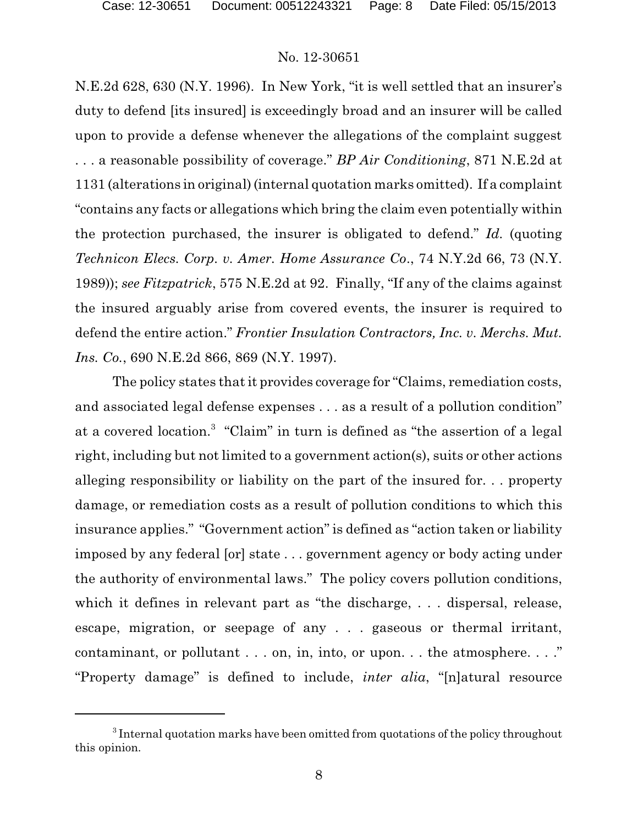N.E.2d 628, 630 (N.Y. 1996). In New York, "it is well settled that an insurer's duty to defend [its insured] is exceedingly broad and an insurer will be called upon to provide a defense whenever the allegations of the complaint suggest . . . a reasonable possibility of coverage." *BP Air Conditioning*, 871 N.E.2d at 1131 (alterations in original) (internal quotation marks omitted). If a complaint "contains any facts or allegations which bring the claim even potentially within the protection purchased, the insurer is obligated to defend." *Id.* (quoting *Technicon Elecs. Corp. v. Amer. Home Assurance Co*., 74 N.Y.2d 66, 73 (N.Y. 1989)); *see Fitzpatrick*, 575 N.E.2d at 92. Finally, "If any of the claims against the insured arguably arise from covered events, the insurer is required to defend the entire action." *Frontier Insulation Contractors, Inc. v. Merchs. Mut. Ins. Co.*, 690 N.E.2d 866, 869 (N.Y. 1997).

The policy states that it provides coverage for "Claims, remediation costs, and associated legal defense expenses . . . as a result of a pollution condition" at a covered location. 3 "Claim" in turn is defined as "the assertion of a legal right, including but not limited to a government action(s), suits or other actions alleging responsibility or liability on the part of the insured for. . . property damage, or remediation costs as a result of pollution conditions to which this insurance applies." "Government action" is defined as "action taken or liability imposed by any federal [or] state . . . government agency or body acting under the authority of environmental laws." The policy covers pollution conditions, which it defines in relevant part as "the discharge, . . . dispersal, release, escape, migration, or seepage of any . . . gaseous or thermal irritant, contaminant, or pollutant . . . on, in, into, or upon. . . the atmosphere. . . ." "Property damage" is defined to include, *inter alia*, "[n]atural resource

 $3$  Internal quotation marks have been omitted from quotations of the policy throughout this opinion.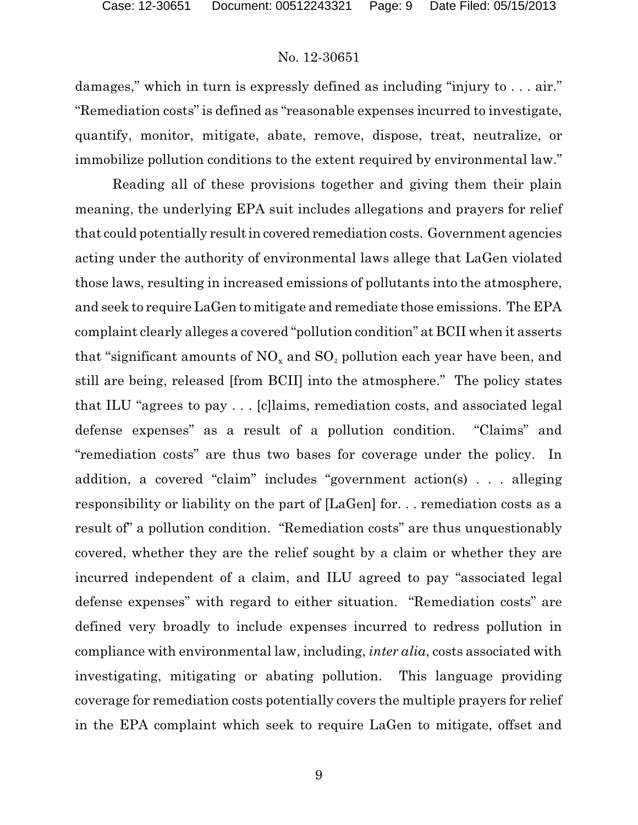damages," which in turn is expressly defined as including "injury to . . . air." "Remediation costs" is defined as "reasonable expenses incurred to investigate, quantify, monitor, mitigate, abate, remove, dispose, treat, neutralize, or immobilize pollution conditions to the extent required by environmental law."

Reading all of these provisions together and giving them their plain meaning, the underlying EPA suit includes allegations and prayers for relief that could potentially resultin covered remediation costs. Government agencies acting under the authority of environmental laws allege that LaGen violated those laws, resulting in increased emissions of pollutants into the atmosphere, and seek to require LaGen to mitigate and remediate those emissions. The EPA complaint clearly alleges a covered "pollution condition" at BCII when it asserts that "significant amounts of  $NO<sub>x</sub>$  and  $SO<sub>2</sub>$  pollution each year have been, and still are being, released [from BCII] into the atmosphere." The policy states that ILU "agrees to pay . . . [c]laims, remediation costs, and associated legal defense expenses" as a result of a pollution condition. "Claims" and "remediation costs" are thus two bases for coverage under the policy. In addition, a covered "claim" includes "government action(s) . . . alleging responsibility or liability on the part of [LaGen] for. . . remediation costs as a result of" a pollution condition. "Remediation costs" are thus unquestionably covered, whether they are the relief sought by a claim or whether they are incurred independent of a claim, and ILU agreed to pay "associated legal defense expenses" with regard to either situation. "Remediation costs" are defined very broadly to include expenses incurred to redress pollution in compliance with environmental law, including, *inter alia*, costs associated with investigating, mitigating or abating pollution. This language providing coverage for remediation costs potentially covers the multiple prayers for relief in the EPA complaint which seek to require LaGen to mitigate, offset and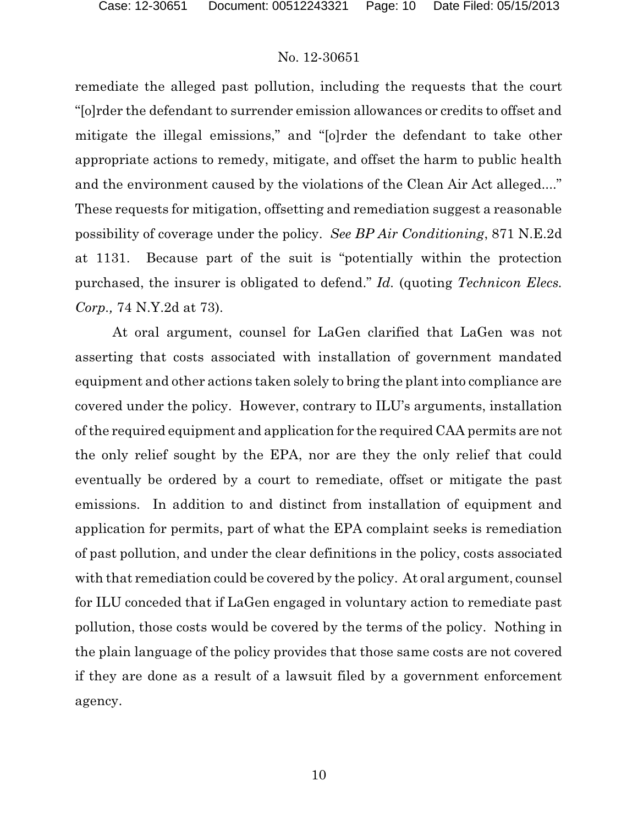remediate the alleged past pollution, including the requests that the court "[o]rder the defendant to surrender emission allowances or credits to offset and mitigate the illegal emissions," and "[o]rder the defendant to take other appropriate actions to remedy, mitigate, and offset the harm to public health and the environment caused by the violations of the Clean Air Act alleged...." These requests for mitigation, offsetting and remediation suggest a reasonable possibility of coverage under the policy. *See BP Air Conditioning*, 871 N.E.2d at 1131. Because part of the suit is "potentially within the protection purchased, the insurer is obligated to defend." *Id.* (quoting *Technicon Elecs. Corp.,* 74 N.Y.2d at 73).

At oral argument, counsel for LaGen clarified that LaGen was not asserting that costs associated with installation of government mandated equipment and other actions taken solely to bring the plant into compliance are covered under the policy. However, contrary to ILU's arguments, installation of the required equipment and application for the required CAA permits are not the only relief sought by the EPA, nor are they the only relief that could eventually be ordered by a court to remediate, offset or mitigate the past emissions. In addition to and distinct from installation of equipment and application for permits, part of what the EPA complaint seeks is remediation of past pollution, and under the clear definitions in the policy, costs associated with that remediation could be covered by the policy. At oral argument, counsel for ILU conceded that if LaGen engaged in voluntary action to remediate past pollution, those costs would be covered by the terms of the policy. Nothing in the plain language of the policy provides that those same costs are not covered if they are done as a result of a lawsuit filed by a government enforcement agency.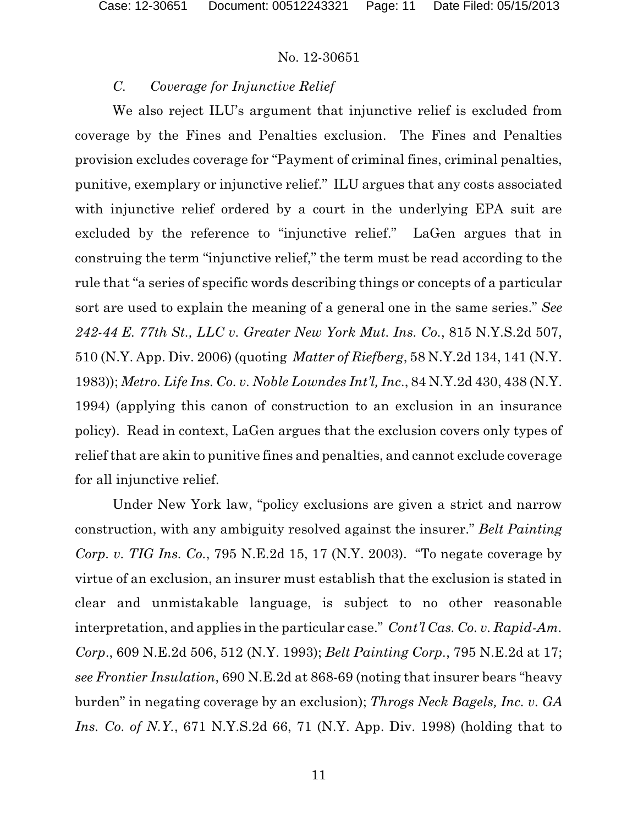### *C. Coverage for Injunctive Relief*

We also reject ILU's argument that injunctive relief is excluded from coverage by the Fines and Penalties exclusion. The Fines and Penalties provision excludes coverage for "Payment of criminal fines, criminal penalties, punitive, exemplary or injunctive relief." ILU argues that any costs associated with injunctive relief ordered by a court in the underlying EPA suit are excluded by the reference to "injunctive relief." LaGen argues that in construing the term "injunctive relief," the term must be read according to the rule that "a series of specific words describing things or concepts of a particular sort are used to explain the meaning of a general one in the same series." *See 242-44 E. 77th St., LLC v. Greater New York Mut. Ins. Co.*, 815 N.Y.S.2d 507, 510 (N.Y. App. Div. 2006) (quoting *Matter of Riefberg*, 58 N.Y.2d 134, 141 (N.Y. 1983)); *Metro. Life Ins. Co. v. Noble Lowndes Int'l, Inc*., 84 N.Y.2d 430, 438 (N.Y. 1994) (applying this canon of construction to an exclusion in an insurance policy). Read in context, LaGen argues that the exclusion covers only types of relief that are akin to punitive fines and penalties, and cannot exclude coverage for all injunctive relief.

Under New York law, "policy exclusions are given a strict and narrow construction, with any ambiguity resolved against the insurer." *Belt Painting Corp. v. TIG Ins. Co.*, 795 N.E.2d 15, 17 (N.Y. 2003). "To negate coverage by virtue of an exclusion, an insurer must establish that the exclusion is stated in clear and unmistakable language, is subject to no other reasonable interpretation, and applies in the particular case." *Cont'l Cas. Co. v. Rapid-Am. Corp*., 609 N.E.2d 506, 512 (N.Y. 1993); *Belt Painting Corp.*, 795 N.E.2d at 17; *see Frontier Insulation*, 690 N.E.2d at 868-69 (noting that insurer bears "heavy burden" in negating coverage by an exclusion); *Throgs Neck Bagels, Inc. v. GA Ins. Co. of N.Y.*, 671 N.Y.S.2d 66, 71 (N.Y. App. Div. 1998) (holding that to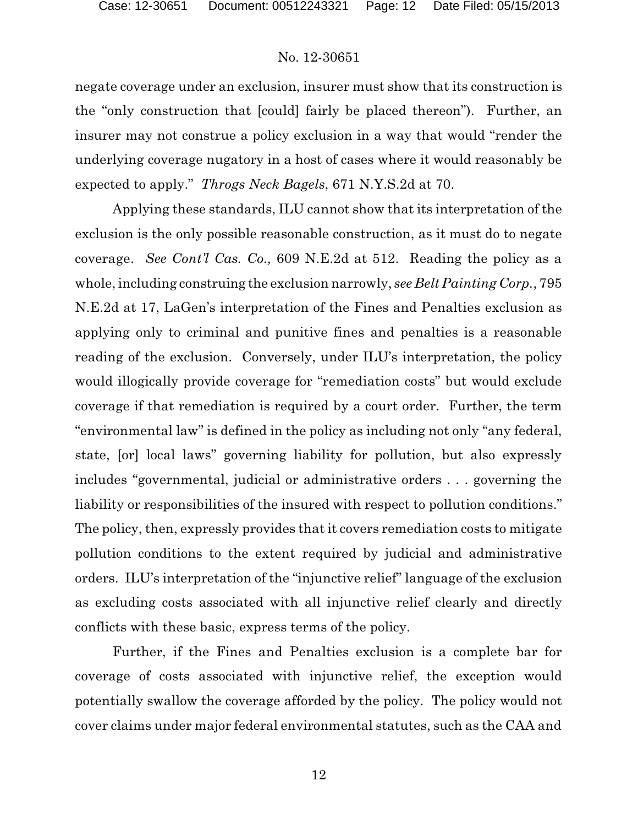negate coverage under an exclusion, insurer must show that its construction is the "only construction that [could] fairly be placed thereon"). Further, an insurer may not construe a policy exclusion in a way that would "render the underlying coverage nugatory in a host of cases where it would reasonably be expected to apply." *Throgs Neck Bagels*, 671 N.Y.S.2d at 70.

Applying these standards, ILU cannot show that its interpretation of the exclusion is the only possible reasonable construction, as it must do to negate coverage. *See Cont'l Cas. Co.,* 609 N.E.2d at 512. Reading the policy as a whole, including construing the exclusion narrowly, *see Belt Painting Corp.*, 795 N.E.2d at 17, LaGen's interpretation of the Fines and Penalties exclusion as applying only to criminal and punitive fines and penalties is a reasonable reading of the exclusion. Conversely, under ILU's interpretation, the policy would illogically provide coverage for "remediation costs" but would exclude coverage if that remediation is required by a court order. Further, the term "environmental law" is defined in the policy as including not only "any federal, state, [or] local laws" governing liability for pollution, but also expressly includes "governmental, judicial or administrative orders . . . governing the liability or responsibilities of the insured with respect to pollution conditions." The policy, then, expressly provides that it covers remediation costs to mitigate pollution conditions to the extent required by judicial and administrative orders. ILU's interpretation of the "injunctive relief" language of the exclusion as excluding costs associated with all injunctive relief clearly and directly conflicts with these basic, express terms of the policy.

Further, if the Fines and Penalties exclusion is a complete bar for coverage of costs associated with injunctive relief, the exception would potentially swallow the coverage afforded by the policy. The policy would not cover claims under major federal environmental statutes, such as the CAA and

12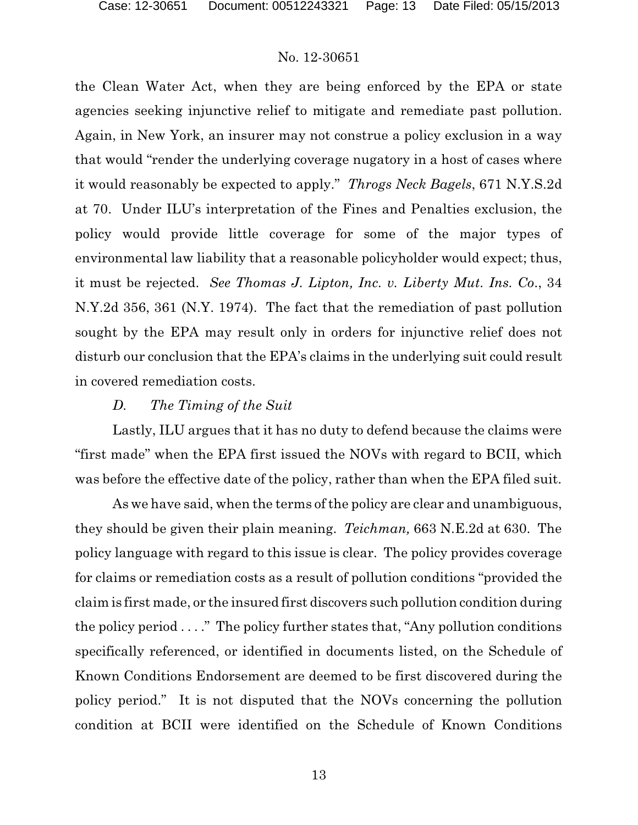the Clean Water Act, when they are being enforced by the EPA or state agencies seeking injunctive relief to mitigate and remediate past pollution. Again, in New York, an insurer may not construe a policy exclusion in a way that would "render the underlying coverage nugatory in a host of cases where it would reasonably be expected to apply." *Throgs Neck Bagels*, 671 N.Y.S.2d at 70. Under ILU's interpretation of the Fines and Penalties exclusion, the policy would provide little coverage for some of the major types of environmental law liability that a reasonable policyholder would expect; thus, it must be rejected. *See Thomas J. Lipton, Inc. v. Liberty Mut. Ins. Co*., 34 N.Y.2d 356, 361 (N.Y. 1974). The fact that the remediation of past pollution sought by the EPA may result only in orders for injunctive relief does not disturb our conclusion that the EPA's claims in the underlying suit could result in covered remediation costs.

#### *D. The Timing of the Suit*

Lastly, ILU argues that it has no duty to defend because the claims were "first made" when the EPA first issued the NOVs with regard to BCII, which was before the effective date of the policy, rather than when the EPA filed suit.

As we have said, when the terms of the policy are clear and unambiguous, they should be given their plain meaning. *Teichman,* 663 N.E.2d at 630. The policy language with regard to this issue is clear. The policy provides coverage for claims or remediation costs as a result of pollution conditions "provided the claim is first made, or the insured first discovers such pollution condition during the policy period  $\dots$ ." The policy further states that, "Any pollution conditions" specifically referenced, or identified in documents listed, on the Schedule of Known Conditions Endorsement are deemed to be first discovered during the policy period." It is not disputed that the NOVs concerning the pollution condition at BCII were identified on the Schedule of Known Conditions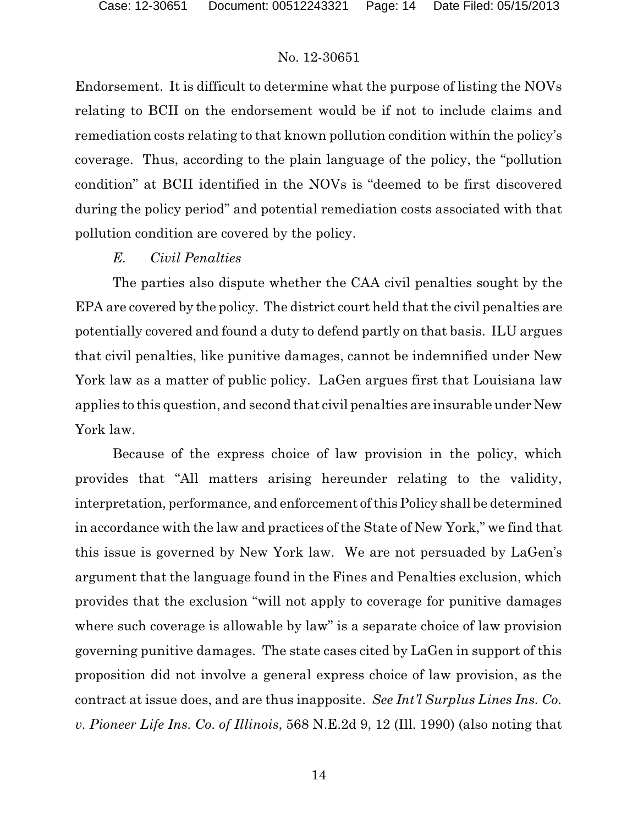Endorsement. It is difficult to determine what the purpose of listing the NOVs relating to BCII on the endorsement would be if not to include claims and remediation costs relating to that known pollution condition within the policy's coverage. Thus, according to the plain language of the policy, the "pollution condition" at BCII identified in the NOVs is "deemed to be first discovered during the policy period" and potential remediation costs associated with that pollution condition are covered by the policy.

### *E. Civil Penalties*

The parties also dispute whether the CAA civil penalties sought by the EPA are covered by the policy. The district court held that the civil penalties are potentially covered and found a duty to defend partly on that basis. ILU argues that civil penalties, like punitive damages, cannot be indemnified under New York law as a matter of public policy. LaGen argues first that Louisiana law applies to this question, and second that civil penalties are insurable under New York law.

Because of the express choice of law provision in the policy, which provides that "All matters arising hereunder relating to the validity, interpretation, performance, and enforcement of this Policy shall be determined in accordance with the law and practices of the State of New York," we find that this issue is governed by New York law. We are not persuaded by LaGen's argument that the language found in the Fines and Penalties exclusion, which provides that the exclusion "will not apply to coverage for punitive damages where such coverage is allowable by law" is a separate choice of law provision governing punitive damages. The state cases cited by LaGen in support of this proposition did not involve a general express choice of law provision, as the contract at issue does, and are thus inapposite. *See Int'l Surplus Lines Ins. Co. v. Pioneer Life Ins. Co. of Illinois*, 568 N.E.2d 9, 12 (Ill. 1990) (also noting that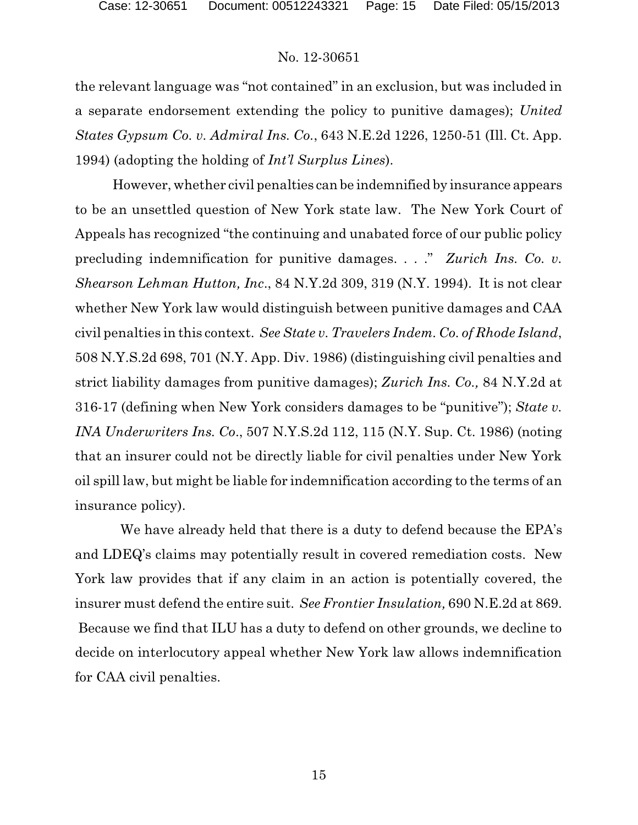the relevant language was "not contained" in an exclusion, but was included in a separate endorsement extending the policy to punitive damages); *United States Gypsum Co. v. Admiral Ins. Co.*, 643 N.E.2d 1226, 1250-51 (Ill. Ct. App. 1994) (adopting the holding of *Int'l Surplus Lines*).

However, whether civil penalties can be indemnified by insurance appears to be an unsettled question of New York state law. The New York Court of Appeals has recognized "the continuing and unabated force of our public policy precluding indemnification for punitive damages. . . ." *Zurich Ins. Co. v. Shearson Lehman Hutton, Inc*., 84 N.Y.2d 309, 319 (N.Y. 1994). It is not clear whether New York law would distinguish between punitive damages and CAA civil penalties in this context. *See State v. Travelers Indem. Co. of Rhode Island*, 508 N.Y.S.2d 698, 701 (N.Y. App. Div. 1986) (distinguishing civil penalties and strict liability damages from punitive damages); *Zurich Ins. Co.,* 84 N.Y.2d at 316-17 (defining when New York considers damages to be "punitive"); *State v. INA Underwriters Ins. Co*., 507 N.Y.S.2d 112, 115 (N.Y. Sup. Ct. 1986) (noting that an insurer could not be directly liable for civil penalties under New York oil spill law, but might be liable for indemnification according to the terms of an insurance policy).

We have already held that there is a duty to defend because the EPA's and LDEQ's claims may potentially result in covered remediation costs. New York law provides that if any claim in an action is potentially covered, the insurer must defend the entire suit. *See Frontier Insulation,* 690 N.E.2d at 869. Because we find that ILU has a duty to defend on other grounds, we decline to decide on interlocutory appeal whether New York law allows indemnification for CAA civil penalties.